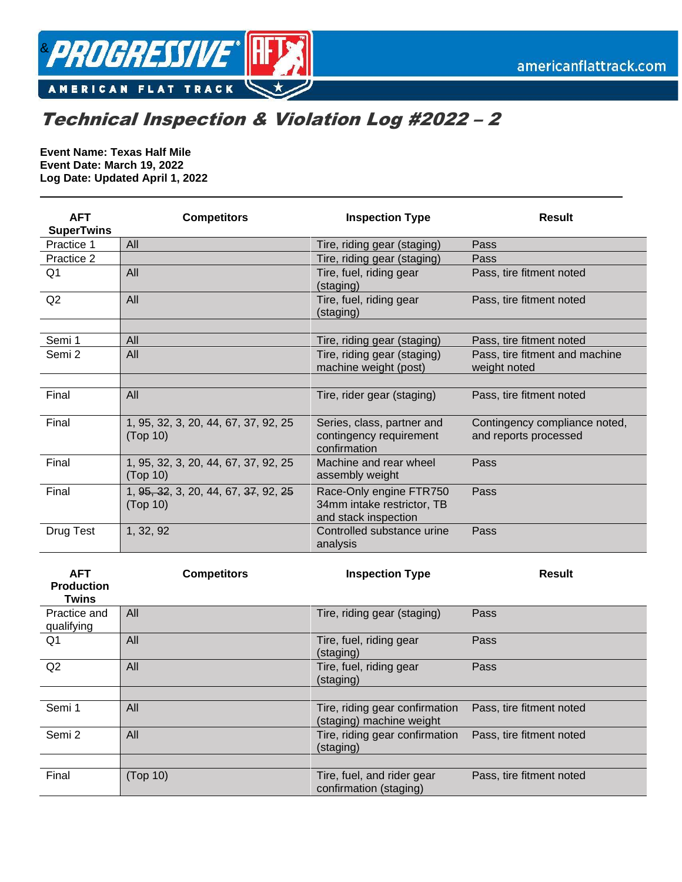

## Technical Inspection & Violation Log #2022 – 2

**Event Name: Texas Half Mile Event Date: March 19, 2022 Log Date: Updated April 1, 2022**

| <b>AFT</b><br><b>SuperTwins</b> | <b>Competitors</b>                               | <b>Inspection Type</b>                                                        | <b>Result</b>                                          |
|---------------------------------|--------------------------------------------------|-------------------------------------------------------------------------------|--------------------------------------------------------|
| Practice 1                      | All                                              | Tire, riding gear (staging)                                                   | Pass                                                   |
| Practice 2                      |                                                  | Tire, riding gear (staging)                                                   | Pass                                                   |
| Q <sub>1</sub>                  | All                                              | Tire, fuel, riding gear<br>(staging)                                          | Pass, tire fitment noted                               |
| Q2                              | All                                              | Tire, fuel, riding gear<br>(staging)                                          | Pass, tire fitment noted                               |
|                                 |                                                  |                                                                               |                                                        |
| Semi 1                          | All                                              | Tire, riding gear (staging)                                                   | Pass, tire fitment noted                               |
| Semi 2                          | All                                              | Tire, riding gear (staging)<br>machine weight (post)                          | Pass, tire fitment and machine<br>weight noted         |
|                                 |                                                  |                                                                               |                                                        |
| Final                           | All                                              | Tire, rider gear (staging)                                                    | Pass, tire fitment noted                               |
| Final                           | 1, 95, 32, 3, 20, 44, 67, 37, 92, 25<br>(Top 10) | Series, class, partner and<br>contingency requirement<br>confirmation         | Contingency compliance noted,<br>and reports processed |
| Final                           | 1, 95, 32, 3, 20, 44, 67, 37, 92, 25<br>(Top 10) | Machine and rear wheel<br>assembly weight                                     | Pass                                                   |
| Final                           | 1, 95, 32, 3, 20, 44, 67, 37, 92, 25<br>(Top 10) | Race-Only engine FTR750<br>34mm intake restrictor, TB<br>and stack inspection | Pass                                                   |
| Drug Test                       | 1, 32, 92                                        | Controlled substance urine<br>analysis                                        | Pass                                                   |
| <b>AFT</b><br><b>Droduction</b> | <b>Competitors</b>                               | <b>Inspection Type</b>                                                        | <b>Result</b>                                          |

| Production<br><b>Twins</b> |          |                                                            |                          |
|----------------------------|----------|------------------------------------------------------------|--------------------------|
| Practice and<br>qualifying | All      | Tire, riding gear (staging)                                | Pass                     |
| Q1                         | All      | Tire, fuel, riding gear<br>(staging)                       | Pass                     |
| Q2                         | All      | Tire, fuel, riding gear<br>(staging)                       | Pass                     |
|                            |          |                                                            |                          |
| Semi 1                     | All      | Tire, riding gear confirmation<br>(staging) machine weight | Pass, tire fitment noted |
| Semi 2                     | All      | Tire, riding gear confirmation<br>(staging)                | Pass, tire fitment noted |
|                            |          |                                                            |                          |
| Final                      | (Top 10) | Tire, fuel, and rider gear<br>confirmation (staging)       | Pass, tire fitment noted |